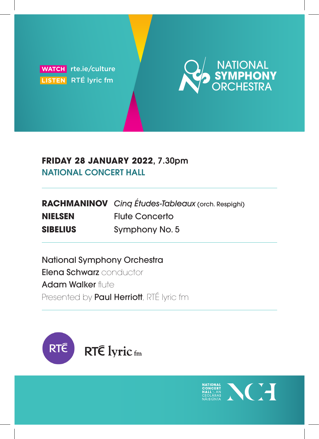**WATCH** rte.ie/culture **LISTEN** RTÉ lyric fm



### **FRIDAY 28 JANUARY 2022**, 7.30pm NATIONAL CONCERT HALL

|                 | <b>RACHMANINOV</b> Cing Études-Tableaux (orch. Respighi) |
|-----------------|----------------------------------------------------------|
| <b>NIELSEN</b>  | <b>Flute Concerto</b>                                    |
| <b>SIBELIUS</b> | Symphony No. 5                                           |

National Symphony Orchestra **Elena Schwarz** conductor Adam Walker flute Presented by Paul Herriott, RTÉ lyric fm



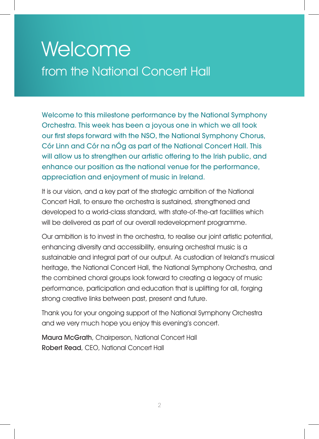# **Welcome** from the National Concert Hall

Welcome to this milestone performance by the National Symphony Orchestra. This week has been a joyous one in which we all took our first steps forward with the NSO, the National Symphony Chorus, Cór Linn and Cór na nÓg as part of the National Concert Hall. This will allow us to strengthen our artistic offering to the Irish public, and enhance our position as the national venue for the performance, appreciation and enjoyment of music in Ireland.

It is our vision, and a key part of the strategic ambition of the National Concert Hall, to ensure the orchestra is sustained, strengthened and developed to a world-class standard, with state-of-the-art facilities which will be delivered as part of our overall redevelopment programme.

Our ambition is to invest in the orchestra, to realise our joint artistic potential, enhancing diversity and accessibility, ensuring orchestral music is a sustainable and integral part of our output. As custodian of Ireland's musical heritage, the National Concert Hall, the National Symphony Orchestra, and the combined choral groups look forward to creating a legacy of music performance, participation and education that is uplifting for all, forging strong creative links between past, present and future.

Thank you for your ongoing support of the National Symphony Orchestra and we very much hope you enjoy this evening's concert.

Maura McGrath, Chairperson, National Concert Hall Robert Read, CEO, National Concert Hall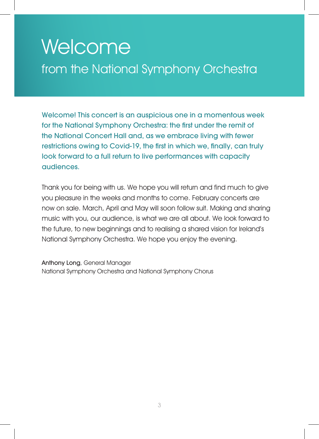# **Welcome** from the National Symphony Orchestra

Welcome! This concert is an auspicious one in a momentous week for the National Symphony Orchestra: the first under the remit of the National Concert Hall and, as we embrace living with fewer restrictions owing to Covid-19, the first in which we, finally, can truly look forward to a full return to live performances with capacity audiences.

Thank you for being with us. We hope you will return and find much to give you pleasure in the weeks and months to come. February concerts are now on sale. March, April and May will soon follow suit. Making and sharing music with you, our audience, is what we are all about. We look forward to the future, to new beginnings and to realising a shared vision for Ireland's National Symphony Orchestra. We hope you enjoy the evening.

Anthony Long, General Manager National Symphony Orchestra and National Symphony Chorus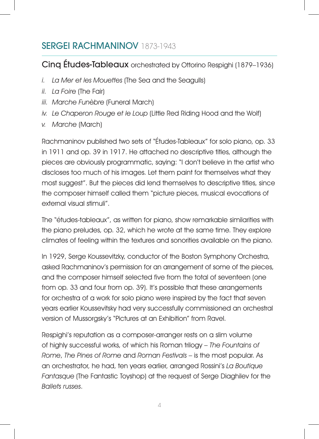# SERGEI RACHMANINOV 1873-1943

#### Cinq Études-Tableaux orchestrated by Ottorino Respighi (1879–1936)

- i. La Mer et les Mouettes (The Sea and the Seagulls)
- ii. La Foire (The Fair)
- iii. Marche Funèbre (Funeral March)
- iv. Le Chaperon Rouge et le Loup (Little Red Riding Hood and the Wolf)
- v. Marche (March)

Rachmaninov published two sets of "Études-Tableaux" for solo piano, op. 33 in 1911 and op. 39 in 1917. He attached no descriptive titles, although the pieces are obviously programmatic, saying: "I don't believe in the artist who discloses too much of his images. Let them paint for themselves what they most suggest". But the pieces did lend themselves to descriptive titles, since the composer himself called them "picture pieces, musical evocations of external visual stimuli".

The "études-tableaux", as written for piano, show remarkable similarities with the piano preludes, op. 32, which he wrote at the same time. They explore climates of feeling within the textures and sonorities available on the piano.

In 1929, Serge Koussevitzky, conductor of the Boston Symphony Orchestra, asked Rachmaninov's permission for an arrangement of some of the pieces, and the composer himself selected five from the total of seventeen (one from op. 33 and four from op. 39). It's possible that these arrangements for orchestra of a work for solo piano were inspired by the fact that seven years earlier Koussevitsky had very successfully commissioned an orchestral version of Mussorgsky's "Pictures at an Exhibition" from Ravel.

Respighi's reputation as a composer-arranger rests on a slim volume of highly successful works, of which his Roman trilogy – The Fountains of Rome, The Pines of Rome and Roman Festivals – is the most popular. As an orchestrator, he had, ten years earlier, arranged Rossini's La Boutique Fantasque (The Fantastic Toyshop) at the request of Serge Diaghilev for the Ballets russes.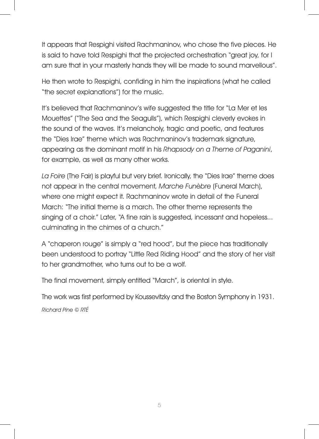It appears that Respighi visited Rachmaninov, who chose the five pieces. He is said to have told Respighi that the projected orchestration "great joy, for I am sure that in your masterly hands they will be made to sound marvellous".

He then wrote to Respighi, confiding in him the inspirations (what he called "the secret explanations") for the music.

It's believed that Rachmaninov's wife suggested the title for "La Mer et les Mouettes" ("The Sea and the Seagulls"), which Respighi cleverly evokes in the sound of the waves. It's melancholy, tragic and poetic, and features the "Dies Irae" theme which was Rachmaninov's trademark signature, appearing as the dominant motif in his Rhapsody on a Theme of Paganini, for example, as well as many other works.

La Foire (The Fair) is playful but very brief. Ironically, the "Dies Irae" theme does not appear in the central movement, Marche Funèbre (Funeral March), where one might expect it. Rachmaninov wrote in detail of the Funeral March: "The initial theme is a march. The other theme represents the singing of a choir." Later, "A fine rain is suggested, incessant and hopeless... culminating in the chimes of a church."

A "chaperon rouge" is simply a "red hood", but the piece has traditionally been understood to portray "Little Red Riding Hood" and the story of her visit to her grandmother, who turns out to be a wolf.

The final movement, simply entitled "March", is oriental in style.

The work was first performed by Koussevitzky and the Boston Symphony in 1931.

Richard Pine © RTÉ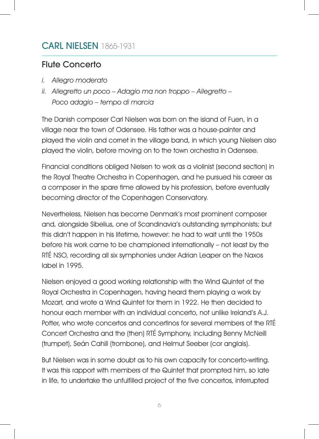# CARL NIELSEN 1865-1931

### Flute Concerto

- i. Allegro moderato
- ii. Allegretto un poco Adagio ma non troppo Allegretto Poco adagio – tempo di marcia

The Danish composer Carl Nielsen was born on the island of Fuen, in a village near the town of Odensee. His father was a house-painter and played the violin and cornet in the village band, in which young Nielsen also played the violin, before moving on to the town orchestra in Odensee.

Financial conditions obliged Nielsen to work as a violinist (second section) in the Royal Theatre Orchestra in Copenhagen, and he pursued his career as a composer in the spare time allowed by his profession, before eventually becoming director of the Copenhagen Conservatory.

Nevertheless, Nielsen has become Denmark's most prominent composer and, alongside Sibelius, one of Scandinavia's outstanding symphonists; but this didn't happen in his lifetime, however: he had to wait until the 1950s before his work came to be championed internationally – not least by the RTÉ NSO, recording all six symphonies under Adrian Leaper on the Naxos label in 1995.

Nielsen enjoyed a good working relationship with the Wind Quintet of the Royal Orchestra in Copenhagen, having heard them playing a work by Mozart, and wrote a Wind Quintet for them in 1922. He then decided to honour each member with an individual concerto, not unlike Ireland's A.J. Potter, who wrote concertos and concertinos for several members of the RTÉ Concert Orchestra and the (then) RTÉ Symphony, including Benny McNeill (trumpet), Seán Cahill (trombone), and Helmut Seeber (cor anglais).

But Nielsen was in some doubt as to his own capacity for concerto-writing. It was this rapport with members of the Quintet that prompted him, so late in life, to undertake the unfulfilled project of the five concertos, interrupted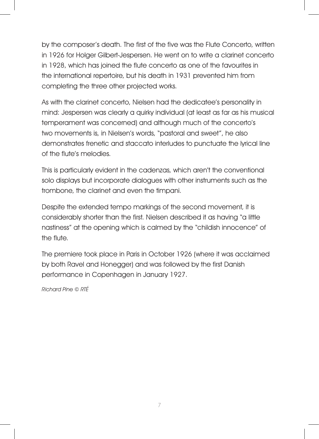by the composer's death. The first of the five was the Flute Concerto, written in 1926 for Holger Gilbert-Jespersen. He went on to write a clarinet concerto in 1928, which has joined the flute concerto as one of the favourites in the international repertoire, but his death in 1931 prevented him from completing the three other projected works.

As with the clarinet concerto, Nielsen had the dedicatee's personality in mind: Jespersen was clearly a quirky individual (at least as far as his musical temperament was concerned) and although much of the concerto's two movements is, in Nielsen's words, "pastoral and sweet", he also demonstrates frenetic and staccato interludes to punctuate the lyrical line of the flute's melodies.

This is particularly evident in the cadenzas, which aren't the conventional solo displays but incorporate dialogues with other instruments such as the trombone, the clarinet and even the timpani.

Despite the extended tempo markings of the second movement, it is considerably shorter than the first. Nielsen described it as having "a little nastiness" at the opening which is calmed by the "childish innocence" of the flute.

The premiere took place in Paris in October 1926 (where it was acclaimed by both Ravel and Honegger) and was followed by the first Danish performance in Copenhagen in January 1927.

Richard Pine © RTÉ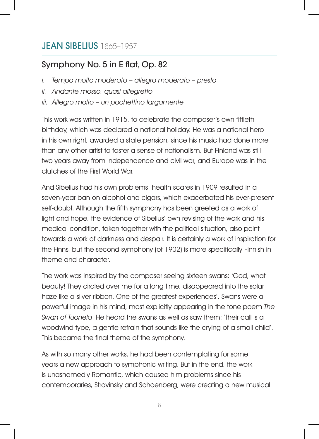## JEAN SIBELIUS 1865–1957

#### Symphony No. 5 in E flat, Op. 82

- i. Tempo molto moderato allegro moderato presto
- ii. Andante mosso, quasi allegretto
- iii. Allegro molto un pochettino largamente

This work was written in 1915, to celebrate the composer's own fiftieth birthday, which was declared a national holiday. He was a national hero in his own right, awarded a state pension, since his music had done more than any other artist to foster a sense of nationalism. But Finland was still two years away from independence and civil war, and Europe was in the clutches of the First World War.

And Sibelius had his own problems: health scares in 1909 resulted in a seven-year ban on alcohol and cigars, which exacerbated his ever-present self-doubt. Although the fifth symphony has been greeted as a work of light and hope, the evidence of Sibelius' own revising of the work and his medical condition, taken together with the political situation, also point towards a work of darkness and despair. It is certainly a work of inspiration for the Finns, but the second symphony (of 1902) is more specifically Finnish in theme and character.

The work was inspired by the composer seeing sixteen swans: 'God, what beauty! They circled over me for a long time, disappeared into the solar haze like a silver ribbon. One of the greatest experiences'. Swans were a powerful image in his mind, most explicitly appearing in the tone poem The Swan of Tuonela. He heard the swans as well as saw them: 'their call is a woodwind type, a gentle refrain that sounds like the crying of a small child'. This became the final theme of the symphony.

As with so many other works, he had been contemplating for some years a new approach to symphonic writing. But in the end, the work is unashamedly Romantic, which caused him problems since his contemporaries, Stravinsky and Schoenberg, were creating a new musical